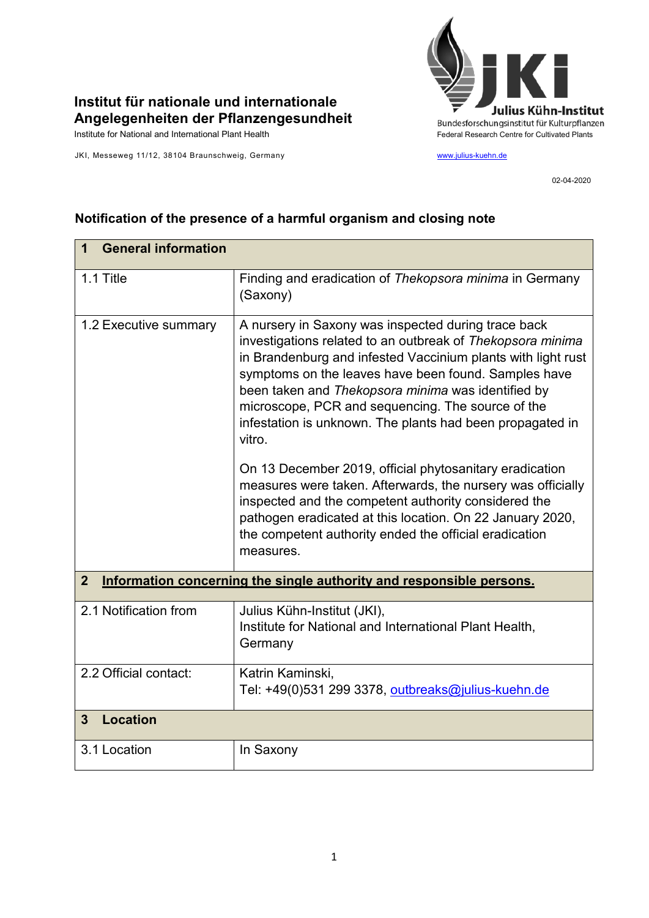

## **Institut für nationale und internationale Angelegenheiten der Pflanzengesundheit**

JKI, Messeweg 11/12, 38104 Braunschweig, Germany [www.julius-kuehn.de](http://www.julius-kuehn.de/)

02-04-2020

| <b>General information</b><br>$\mathbf 1$                                              |                                                                                                                                                                                                                                                                                                                                                                                                                             |  |
|----------------------------------------------------------------------------------------|-----------------------------------------------------------------------------------------------------------------------------------------------------------------------------------------------------------------------------------------------------------------------------------------------------------------------------------------------------------------------------------------------------------------------------|--|
| 1.1 Title                                                                              | Finding and eradication of Thekopsora minima in Germany<br>(Saxony)                                                                                                                                                                                                                                                                                                                                                         |  |
| 1.2 Executive summary                                                                  | A nursery in Saxony was inspected during trace back<br>investigations related to an outbreak of Thekopsora minima<br>in Brandenburg and infested Vaccinium plants with light rust<br>symptoms on the leaves have been found. Samples have<br>been taken and Thekopsora minima was identified by<br>microscope, PCR and sequencing. The source of the<br>infestation is unknown. The plants had been propagated in<br>vitro. |  |
|                                                                                        | On 13 December 2019, official phytosanitary eradication<br>measures were taken. Afterwards, the nursery was officially<br>inspected and the competent authority considered the<br>pathogen eradicated at this location. On 22 January 2020,<br>the competent authority ended the official eradication<br>measures.                                                                                                          |  |
| Information concerning the single authority and responsible persons.<br>$\overline{2}$ |                                                                                                                                                                                                                                                                                                                                                                                                                             |  |
| 2.1 Notification from                                                                  | Julius Kühn-Institut (JKI),<br>Institute for National and International Plant Health,<br>Germany                                                                                                                                                                                                                                                                                                                            |  |
| 2.2 Official contact:                                                                  | Katrin Kaminski,<br>Tel: +49(0)531 299 3378, outbreaks@julius-kuehn.de                                                                                                                                                                                                                                                                                                                                                      |  |
| <b>Location</b><br>3                                                                   |                                                                                                                                                                                                                                                                                                                                                                                                                             |  |
| 3.1 Location                                                                           | In Saxony                                                                                                                                                                                                                                                                                                                                                                                                                   |  |
|                                                                                        |                                                                                                                                                                                                                                                                                                                                                                                                                             |  |

## **Notification of the presence of a harmful organism and closing note**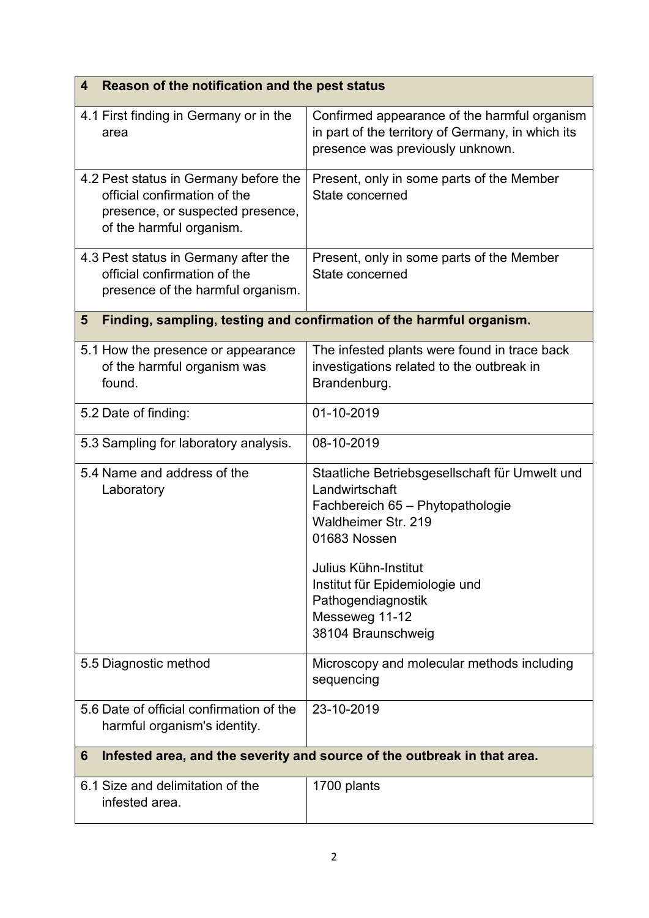| Reason of the notification and the pest status<br>4                                                                                   |                                                                                                                                                                                                                                                                     |  |  |
|---------------------------------------------------------------------------------------------------------------------------------------|---------------------------------------------------------------------------------------------------------------------------------------------------------------------------------------------------------------------------------------------------------------------|--|--|
| 4.1 First finding in Germany or in the<br>area                                                                                        | Confirmed appearance of the harmful organism<br>in part of the territory of Germany, in which its<br>presence was previously unknown.                                                                                                                               |  |  |
| 4.2 Pest status in Germany before the<br>official confirmation of the<br>presence, or suspected presence,<br>of the harmful organism. | Present, only in some parts of the Member<br>State concerned                                                                                                                                                                                                        |  |  |
| 4.3 Pest status in Germany after the<br>official confirmation of the<br>presence of the harmful organism.                             | Present, only in some parts of the Member<br>State concerned                                                                                                                                                                                                        |  |  |
| Finding, sampling, testing and confirmation of the harmful organism.<br>5                                                             |                                                                                                                                                                                                                                                                     |  |  |
| 5.1 How the presence or appearance<br>of the harmful organism was<br>found.                                                           | The infested plants were found in trace back<br>investigations related to the outbreak in<br>Brandenburg.                                                                                                                                                           |  |  |
| 5.2 Date of finding:                                                                                                                  | 01-10-2019                                                                                                                                                                                                                                                          |  |  |
| 5.3 Sampling for laboratory analysis.                                                                                                 | 08-10-2019                                                                                                                                                                                                                                                          |  |  |
| 5.4 Name and address of the<br>Laboratory                                                                                             | Staatliche Betriebsgesellschaft für Umwelt und<br>Landwirtschaft<br>Fachbereich 65 - Phytopathologie<br>Waldheimer Str. 219<br>01683 Nossen<br>Julius Kühn-Institut<br>Institut für Epidemiologie und<br>Pathogendiagnostik<br>Messeweg 11-12<br>38104 Braunschweig |  |  |
| 5.5 Diagnostic method                                                                                                                 | Microscopy and molecular methods including<br>sequencing                                                                                                                                                                                                            |  |  |
| 5.6 Date of official confirmation of the<br>harmful organism's identity.                                                              | 23-10-2019                                                                                                                                                                                                                                                          |  |  |
| Infested area, and the severity and source of the outbreak in that area.<br>6                                                         |                                                                                                                                                                                                                                                                     |  |  |
| 6.1 Size and delimitation of the<br>infested area.                                                                                    | 1700 plants                                                                                                                                                                                                                                                         |  |  |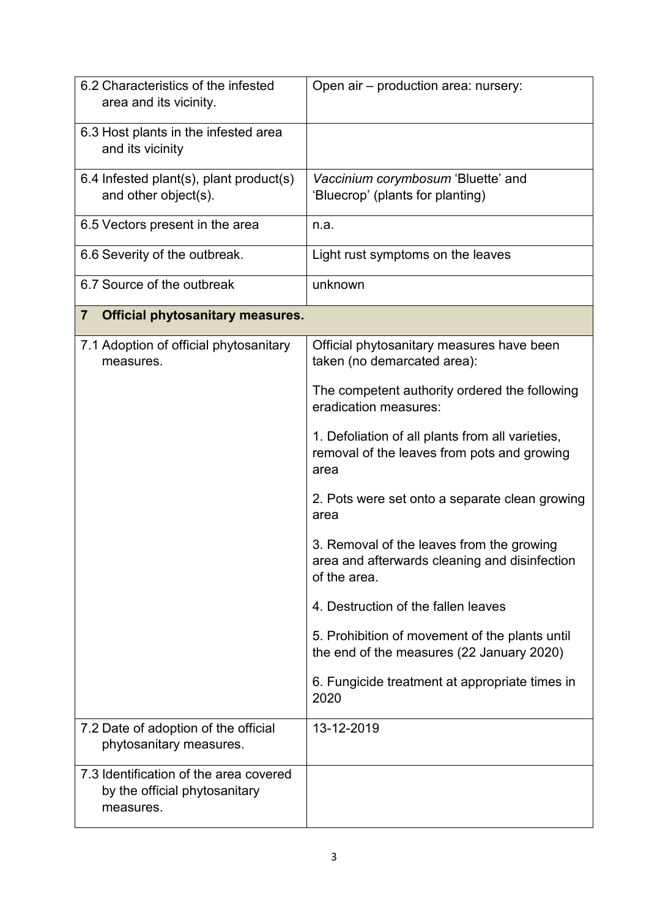| 6.2 Characteristics of the infested<br>area and its vicinity.                        | Open air - production area: nursery:                                                                       |
|--------------------------------------------------------------------------------------|------------------------------------------------------------------------------------------------------------|
| 6.3 Host plants in the infested area<br>and its vicinity                             |                                                                                                            |
| 6.4 Infested plant(s), plant product(s)<br>and other object(s).                      | Vaccinium corymbosum 'Bluette' and<br>'Bluecrop' (plants for planting)                                     |
| 6.5 Vectors present in the area                                                      | n.a.                                                                                                       |
| 6.6 Severity of the outbreak.                                                        | Light rust symptoms on the leaves                                                                          |
| 6.7 Source of the outbreak                                                           | unknown                                                                                                    |
| <b>Official phytosanitary measures.</b><br>$\overline{7}$                            |                                                                                                            |
| 7.1 Adoption of official phytosanitary<br>measures.                                  | Official phytosanitary measures have been<br>taken (no demarcated area):                                   |
|                                                                                      | The competent authority ordered the following<br>eradication measures:                                     |
|                                                                                      | 1. Defoliation of all plants from all varieties,<br>removal of the leaves from pots and growing<br>area    |
|                                                                                      | 2. Pots were set onto a separate clean growing<br>area                                                     |
|                                                                                      | 3. Removal of the leaves from the growing<br>area and afterwards cleaning and disinfection<br>of the area. |
|                                                                                      | 4. Destruction of the fallen leaves                                                                        |
|                                                                                      | 5. Prohibition of movement of the plants until<br>the end of the measures (22 January 2020)                |
|                                                                                      | 6. Fungicide treatment at appropriate times in<br>2020                                                     |
| 7.2 Date of adoption of the official<br>phytosanitary measures.                      | 13-12-2019                                                                                                 |
| 7.3 Identification of the area covered<br>by the official phytosanitary<br>measures. |                                                                                                            |